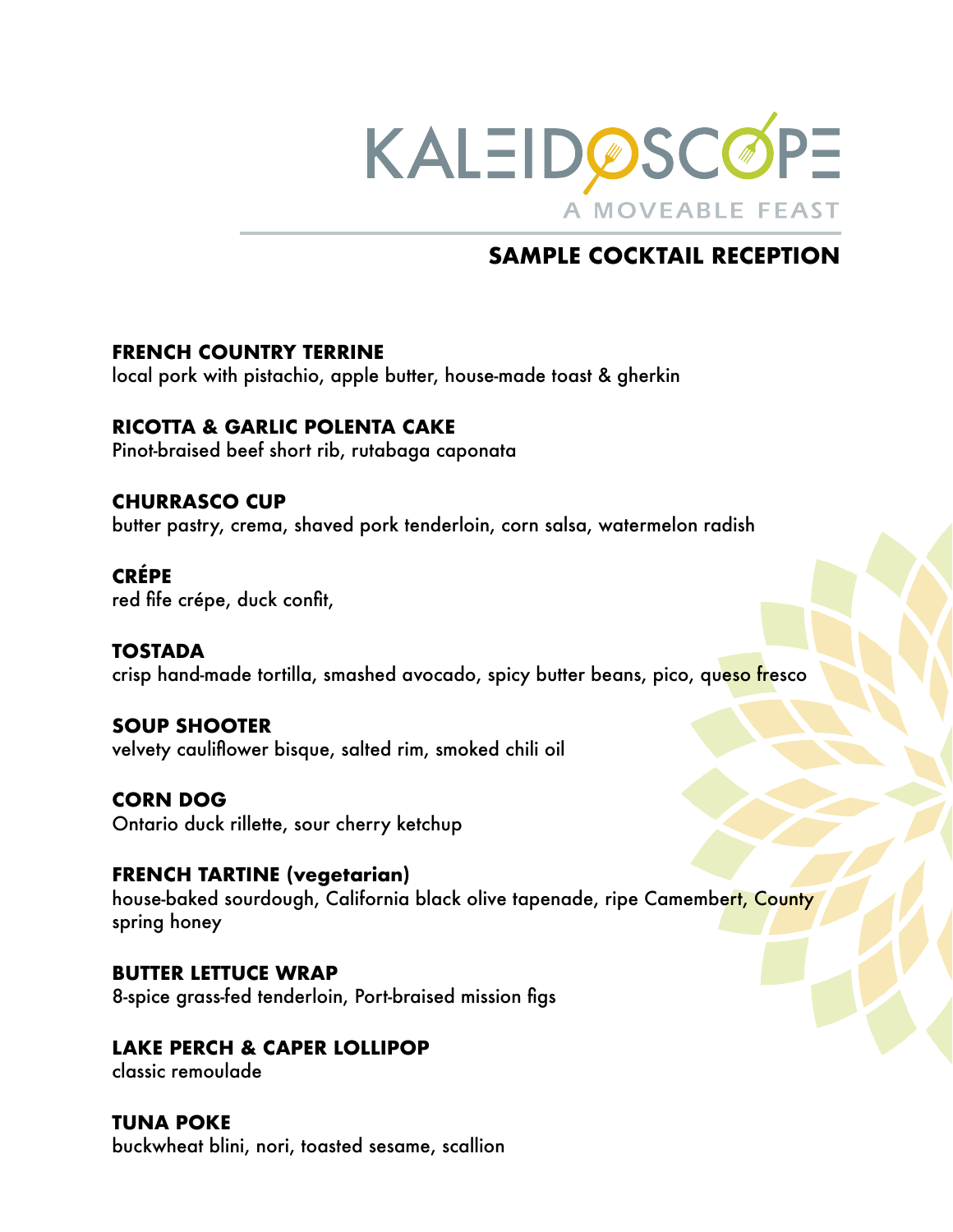

# **SAMPLE COCKTAIL RECEPTION**

#### **FRENCH COUNTRY TERRINE**

local pork with pistachio, apple butter, house-made toast & gherkin

#### **RICOTTA & GARLIC POLENTA CAKE**

Pinot-braised beef short rib, rutabaga caponata

#### **CHURRASCO CUP**

butter pastry, crema, shaved pork tenderloin, corn salsa, watermelon radish

#### **CRÉPE**

red fife crépe, duck confit,

#### **TOSTADA**

crisp hand-made tortilla, smashed avocado, spicy butter beans, pico, queso fresco

#### **SOUP SHOOTER**

velvety cauliflower bisque, salted rim, smoked chili oil

#### **CORN DOG** Ontario duck rillette, sour cherry ketchup

**FRENCH TARTINE (vegetarian)**  house-baked sourdough, California black olive tapenade, ripe Camembert, County spring honey

**BUTTER LETTUCE WRAP** 8-spice grass-fed tenderloin, Port-braised mission figs

#### **LAKE PERCH & CAPER LOLLIPOP**

classic remoulade

#### **TUNA POKE**

buckwheat blini, nori, toasted sesame, scallion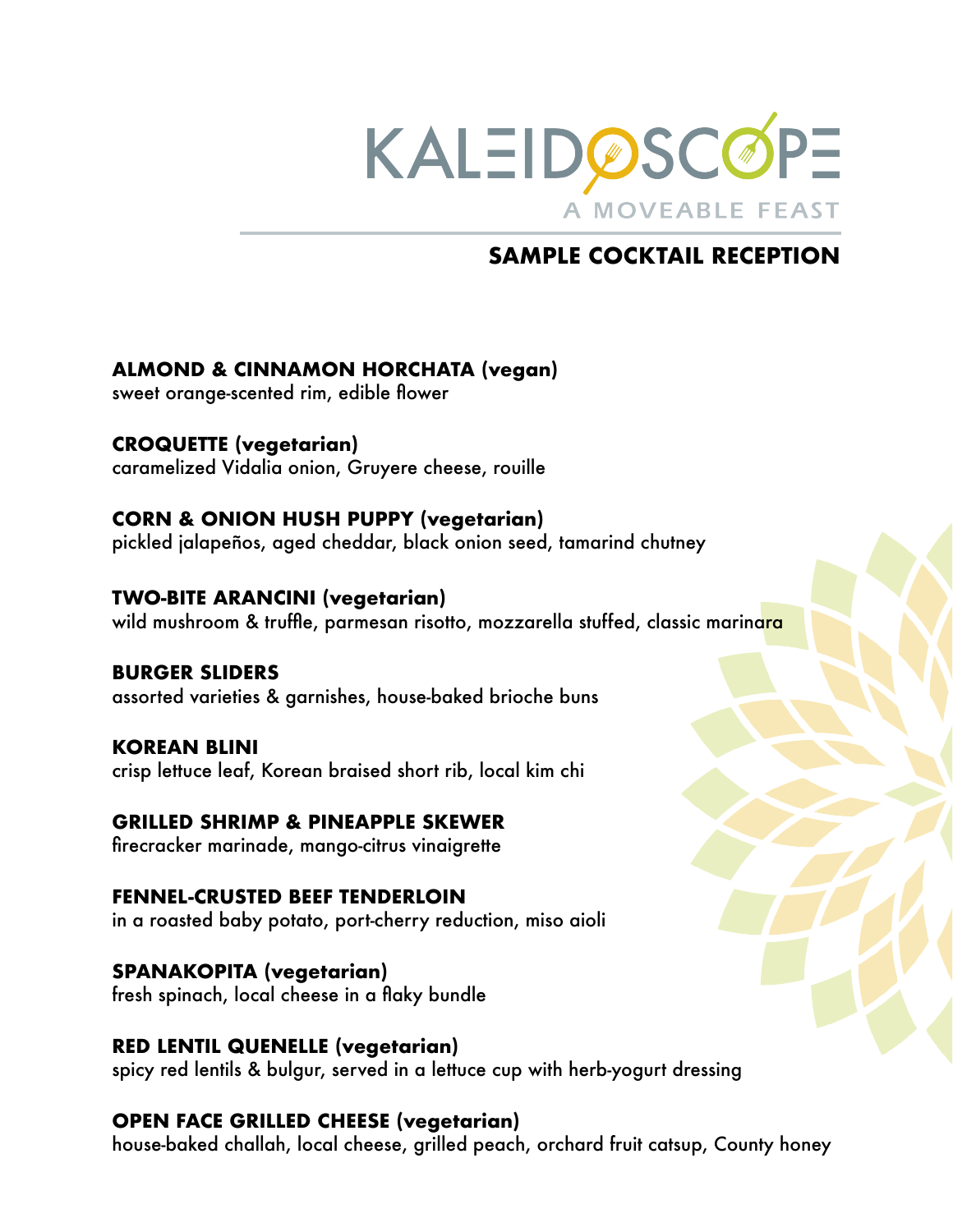

## **SAMPLE COCKTAIL RECEPTION**

### **ALMOND & CINNAMON HORCHATA (vegan)**

sweet orange-scented rim, edible flower

**CROQUETTE (vegetarian)**  caramelized Vidalia onion, Gruyere cheese, rouille

#### **CORN & ONION HUSH PUPPY (vegetarian)**

pickled jalapeños, aged cheddar, black onion seed, tamarind chutney

#### **TWO-BITE ARANCINI (vegetarian)**

wild mushroom & truffle, parmesan risotto, mozzarella stuffed, classic marinara

#### **BURGER SLIDERS**

assorted varieties & garnishes, house-baked brioche buns

#### **KOREAN BLINI** crisp lettuce leaf, Korean braised short rib, local kim chi

#### **GRILLED SHRIMP & PINEAPPLE SKEWER**

firecracker marinade, mango-citrus vinaigrette

# **FENNEL-CRUSTED BEEF TENDERLOIN**

in a roasted baby potato, port-cherry reduction, miso aioli

#### **SPANAKOPITA (vegetarian)**

fresh spinach, local cheese in a flaky bundle

#### **RED LENTIL QUENELLE (vegetarian)**

spicy red lentils & bulgur, served in a lettuce cup with herb-yogurt dressing

#### **OPEN FACE GRILLED CHEESE (vegetarian)**

house-baked challah, local cheese, grilled peach, orchard fruit catsup, County honey